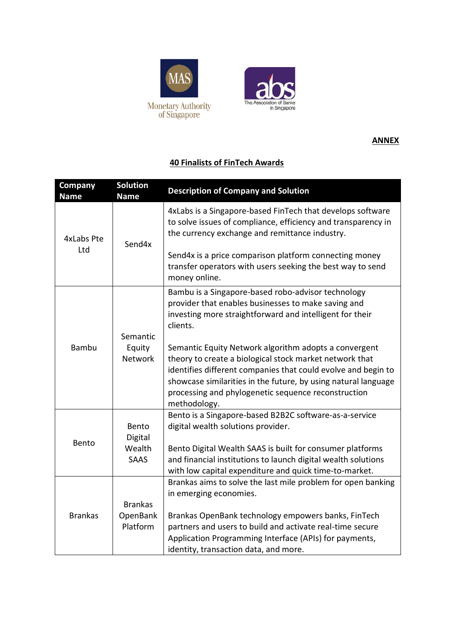



## **ANNEX**

## **40 Finalists of FinTech Awards**

| Company<br><b>Name</b> | <b>Solution</b><br><b>Name</b>     | <b>Description of Company and Solution</b>                                                                                                                                                                                                                                                                                 |
|------------------------|------------------------------------|----------------------------------------------------------------------------------------------------------------------------------------------------------------------------------------------------------------------------------------------------------------------------------------------------------------------------|
| 4xLabs Pte<br>Ltd      | Send4x                             | 4xLabs is a Singapore-based FinTech that develops software<br>to solve issues of compliance, efficiency and transparency in<br>the currency exchange and remittance industry.                                                                                                                                              |
|                        |                                    | Send4x is a price comparison platform connecting money<br>transfer operators with users seeking the best way to send<br>money online.                                                                                                                                                                                      |
|                        | Semantic                           | Bambu is a Singapore-based robo-advisor technology<br>provider that enables businesses to make saving and<br>investing more straightforward and intelligent for their<br>clients.                                                                                                                                          |
| <b>Bambu</b>           | Equity<br><b>Network</b>           | Semantic Equity Network algorithm adopts a convergent<br>theory to create a biological stock market network that<br>identifies different companies that could evolve and begin to<br>showcase similarities in the future, by using natural language<br>processing and phylogenetic sequence reconstruction<br>methodology. |
| Bento                  | Bento<br>Digital<br>Wealth<br>SAAS | Bento is a Singapore-based B2B2C software-as-a-service<br>digital wealth solutions provider.<br>Bento Digital Wealth SAAS is built for consumer platforms<br>and financial institutions to launch digital wealth solutions                                                                                                 |
| <b>Brankas</b>         | <b>Brankas</b>                     | with low capital expenditure and quick time-to-market.<br>Brankas aims to solve the last mile problem for open banking<br>in emerging economies.                                                                                                                                                                           |
|                        | OpenBank<br>Platform               | Brankas OpenBank technology empowers banks, FinTech<br>partners and users to build and activate real-time secure<br>Application Programming Interface (APIs) for payments,<br>identity, transaction data, and more.                                                                                                        |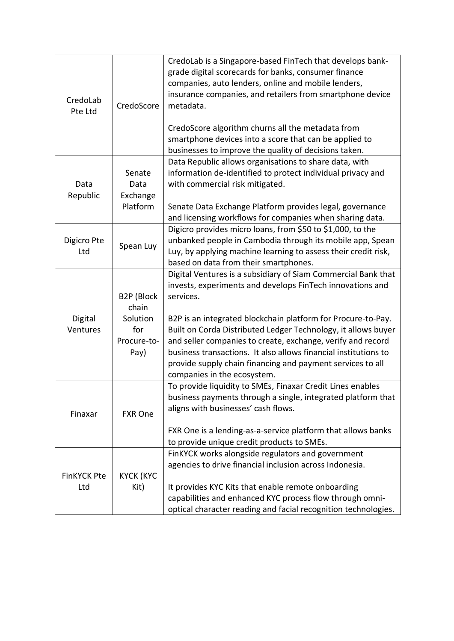| CredoLab<br>Pte Ltd       | CredoScore                                                    | CredoLab is a Singapore-based FinTech that develops bank-<br>grade digital scorecards for banks, consumer finance<br>companies, auto lenders, online and mobile lenders,<br>insurance companies, and retailers from smartphone device<br>metadata.<br>CredoScore algorithm churns all the metadata from<br>smartphone devices into a score that can be applied to<br>businesses to improve the quality of decisions taken.                                                                              |
|---------------------------|---------------------------------------------------------------|---------------------------------------------------------------------------------------------------------------------------------------------------------------------------------------------------------------------------------------------------------------------------------------------------------------------------------------------------------------------------------------------------------------------------------------------------------------------------------------------------------|
| Data<br>Republic          | Senate<br>Data<br>Exchange<br>Platform                        | Data Republic allows organisations to share data, with<br>information de-identified to protect individual privacy and<br>with commercial risk mitigated.<br>Senate Data Exchange Platform provides legal, governance<br>and licensing workflows for companies when sharing data.                                                                                                                                                                                                                        |
| Digicro Pte<br>Ltd        | Spean Luy                                                     | Digicro provides micro loans, from \$50 to \$1,000, to the<br>unbanked people in Cambodia through its mobile app, Spean<br>Luy, by applying machine learning to assess their credit risk,<br>based on data from their smartphones.                                                                                                                                                                                                                                                                      |
| Digital<br>Ventures       | B2P (Block<br>chain<br>Solution<br>for<br>Procure-to-<br>Pay) | Digital Ventures is a subsidiary of Siam Commercial Bank that<br>invests, experiments and develops FinTech innovations and<br>services.<br>B2P is an integrated blockchain platform for Procure-to-Pay.<br>Built on Corda Distributed Ledger Technology, it allows buyer<br>and seller companies to create, exchange, verify and record<br>business transactions. It also allows financial institutions to<br>provide supply chain financing and payment services to all<br>companies in the ecosystem. |
| Finaxar                   | <b>FXR One</b>                                                | To provide liquidity to SMEs, Finaxar Credit Lines enables<br>business payments through a single, integrated platform that<br>aligns with businesses' cash flows.<br>FXR One is a lending-as-a-service platform that allows banks<br>to provide unique credit products to SMEs.                                                                                                                                                                                                                         |
| <b>FinKYCK Pte</b><br>Ltd | <b>KYCK (KYC</b><br>Kit)                                      | FinKYCK works alongside regulators and government<br>agencies to drive financial inclusion across Indonesia.<br>It provides KYC Kits that enable remote onboarding<br>capabilities and enhanced KYC process flow through omni-<br>optical character reading and facial recognition technologies.                                                                                                                                                                                                        |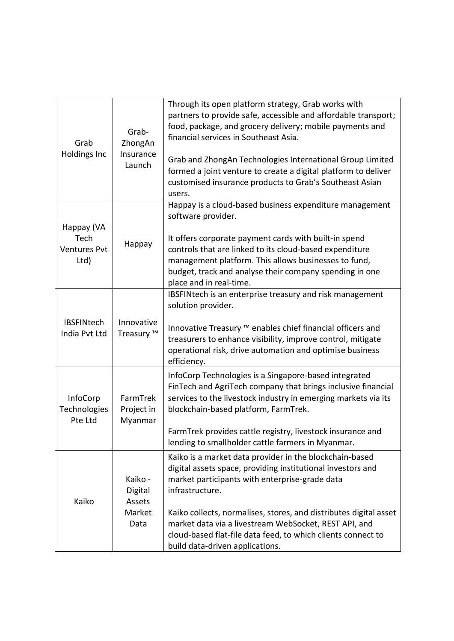| Grab<br><b>Holdings Inc</b>                       | Grab-<br>ZhongAn<br>Insurance<br>Launch        | Through its open platform strategy, Grab works with<br>partners to provide safe, accessible and affordable transport;<br>food, package, and grocery delivery; mobile payments and<br>financial services in Southeast Asia.<br>Grab and ZhongAn Technologies International Group Limited<br>formed a joint venture to create a digital platform to deliver<br>customised insurance products to Grab's Southeast Asian<br>users. |
|---------------------------------------------------|------------------------------------------------|--------------------------------------------------------------------------------------------------------------------------------------------------------------------------------------------------------------------------------------------------------------------------------------------------------------------------------------------------------------------------------------------------------------------------------|
| Happay (VA<br>Tech<br><b>Ventures Pvt</b><br>Ltd) | Happay                                         | Happay is a cloud-based business expenditure management<br>software provider.<br>It offers corporate payment cards with built-in spend<br>controls that are linked to its cloud-based expenditure<br>management platform. This allows businesses to fund,<br>budget, track and analyse their company spending in one<br>place and in real-time.                                                                                |
| <b>IBSFINtech</b><br>India Pvt Ltd                | Innovative<br>Treasury ™                       | IBSFINtech is an enterprise treasury and risk management<br>solution provider.<br>Innovative Treasury ™ enables chief financial officers and<br>treasurers to enhance visibility, improve control, mitigate<br>operational risk, drive automation and optimise business<br>efficiency.                                                                                                                                         |
| <b>InfoCorp</b><br>Technologies<br>Pte Ltd        | FarmTrek<br>Project in<br>Myanmar              | InfoCorp Technologies is a Singapore-based integrated<br>FinTech and AgriTech company that brings inclusive financial<br>services to the livestock industry in emerging markets via its<br>blockchain-based platform, FarmTrek.<br>FarmTrek provides cattle registry, livestock insurance and<br>lending to smallholder cattle farmers in Myanmar.                                                                             |
| Kaiko                                             | Kaiko -<br>Digital<br>Assets<br>Market<br>Data | Kaiko is a market data provider in the blockchain-based<br>digital assets space, providing institutional investors and<br>market participants with enterprise-grade data<br>infrastructure.<br>Kaiko collects, normalises, stores, and distributes digital asset<br>market data via a livestream WebSocket, REST API, and<br>cloud-based flat-file data feed, to which clients connect to<br>build data-driven applications.   |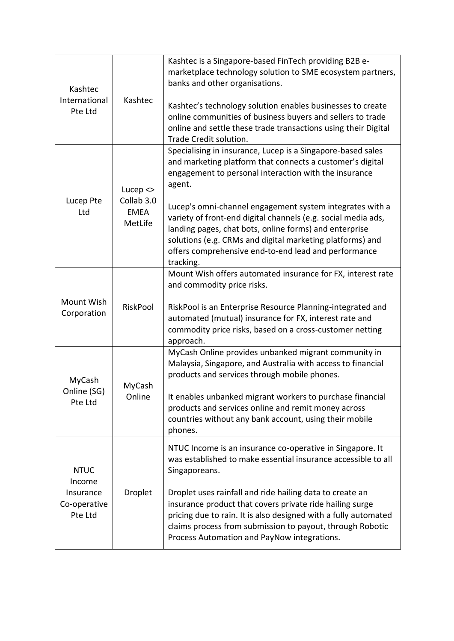| Kashtec<br>International<br>Pte Ltd                           | Kashtec                                             | Kashtec is a Singapore-based FinTech providing B2B e-<br>marketplace technology solution to SME ecosystem partners,<br>banks and other organisations.<br>Kashtec's technology solution enables businesses to create<br>online communities of business buyers and sellers to trade<br>online and settle these trade transactions using their Digital<br>Trade Credit solution. |
|---------------------------------------------------------------|-----------------------------------------------------|-------------------------------------------------------------------------------------------------------------------------------------------------------------------------------------------------------------------------------------------------------------------------------------------------------------------------------------------------------------------------------|
| Lucep Pte<br>Ltd                                              | Lucep $\le$<br>Collab 3.0<br><b>EMEA</b><br>MetLife | Specialising in insurance, Lucep is a Singapore-based sales<br>and marketing platform that connects a customer's digital<br>engagement to personal interaction with the insurance<br>agent.                                                                                                                                                                                   |
|                                                               |                                                     | Lucep's omni-channel engagement system integrates with a<br>variety of front-end digital channels (e.g. social media ads,<br>landing pages, chat bots, online forms) and enterprise<br>solutions (e.g. CRMs and digital marketing platforms) and<br>offers comprehensive end-to-end lead and performance<br>tracking.                                                         |
|                                                               |                                                     | Mount Wish offers automated insurance for FX, interest rate<br>and commodity price risks.                                                                                                                                                                                                                                                                                     |
| Mount Wish<br>Corporation                                     | RiskPool                                            | RiskPool is an Enterprise Resource Planning-integrated and<br>automated (mutual) insurance for FX, interest rate and<br>commodity price risks, based on a cross-customer netting<br>approach.                                                                                                                                                                                 |
| MyCash<br>Online (SG)<br>Pte Ltd                              | MyCash<br>Online                                    | MyCash Online provides unbanked migrant community in<br>Malaysia, Singapore, and Australia with access to financial<br>products and services through mobile phones.                                                                                                                                                                                                           |
|                                                               |                                                     | It enables unbanked migrant workers to purchase financial<br>products and services online and remit money across<br>countries without any bank account, using their mobile<br>phones.                                                                                                                                                                                         |
| <b>NTUC</b><br>Income<br>Insurance<br>Co-operative<br>Pte Ltd | Droplet                                             | NTUC Income is an insurance co-operative in Singapore. It<br>was established to make essential insurance accessible to all<br>Singaporeans.                                                                                                                                                                                                                                   |
|                                                               |                                                     | Droplet uses rainfall and ride hailing data to create an<br>insurance product that covers private ride hailing surge<br>pricing due to rain. It is also designed with a fully automated<br>claims process from submission to payout, through Robotic<br>Process Automation and PayNow integrations.                                                                           |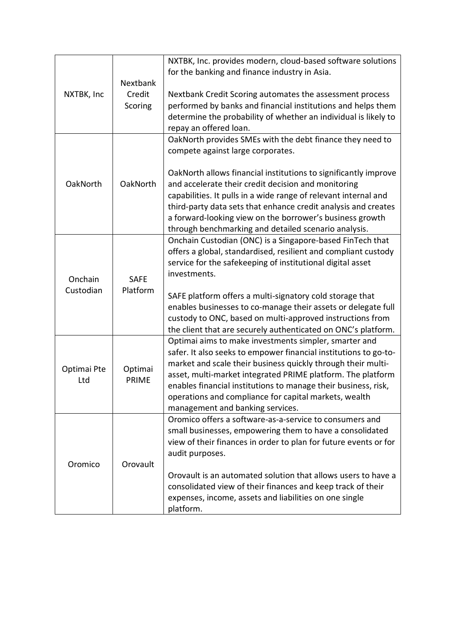|             |                         | NXTBK, Inc. provides modern, cloud-based software solutions      |
|-------------|-------------------------|------------------------------------------------------------------|
|             |                         |                                                                  |
|             |                         | for the banking and finance industry in Asia.                    |
|             | Nextbank                |                                                                  |
| NXTBK, Inc  | Credit                  | Nextbank Credit Scoring automates the assessment process         |
|             | Scoring                 | performed by banks and financial institutions and helps them     |
|             |                         | determine the probability of whether an individual is likely to  |
|             |                         | repay an offered loan.                                           |
|             |                         | OakNorth provides SMEs with the debt finance they need to        |
|             |                         | compete against large corporates.                                |
|             |                         |                                                                  |
|             |                         | OakNorth allows financial institutions to significantly improve  |
| OakNorth    | OakNorth                | and accelerate their credit decision and monitoring              |
|             |                         | capabilities. It pulls in a wide range of relevant internal and  |
|             |                         | third-party data sets that enhance credit analysis and creates   |
|             |                         | a forward-looking view on the borrower's business growth         |
|             |                         | through benchmarking and detailed scenario analysis.             |
|             |                         |                                                                  |
|             |                         | Onchain Custodian (ONC) is a Singapore-based FinTech that        |
|             |                         | offers a global, standardised, resilient and compliant custody   |
|             |                         | service for the safekeeping of institutional digital asset       |
| Onchain     | <b>SAFE</b>             | investments.                                                     |
| Custodian   | Platform                |                                                                  |
|             |                         | SAFE platform offers a multi-signatory cold storage that         |
|             |                         | enables businesses to co-manage their assets or delegate full    |
|             |                         | custody to ONC, based on multi-approved instructions from        |
|             |                         | the client that are securely authenticated on ONC's platform.    |
|             |                         | Optimai aims to make investments simpler, smarter and            |
|             | Optimai<br><b>PRIME</b> | safer. It also seeks to empower financial institutions to go-to- |
|             |                         | market and scale their business quickly through their multi-     |
| Optimai Pte |                         | asset, multi-market integrated PRIME platform. The platform      |
| Ltd         |                         | enables financial institutions to manage their business, risk,   |
|             |                         | operations and compliance for capital markets, wealth            |
|             |                         |                                                                  |
|             |                         | management and banking services.                                 |
|             |                         | Oromico offers a software-as-a-service to consumers and          |
|             |                         | small businesses, empowering them to have a consolidated         |
|             |                         | view of their finances in order to plan for future events or for |
|             |                         | audit purposes.                                                  |
| Oromico     | Orovault                |                                                                  |
|             |                         | Orovault is an automated solution that allows users to have a    |
|             |                         | consolidated view of their finances and keep track of their      |
|             |                         | expenses, income, assets and liabilities on one single           |
|             |                         | platform.                                                        |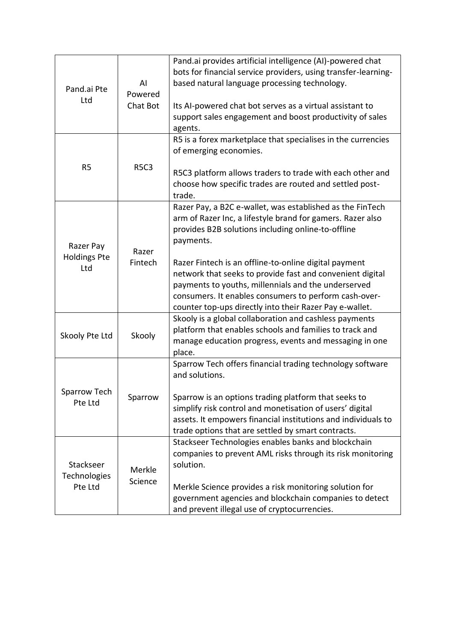| Pand.ai Pte<br>Ltd                      | Al<br>Powered<br>Chat Bot | Pand.ai provides artificial intelligence (AI)-powered chat<br>bots for financial service providers, using transfer-learning-<br>based natural language processing technology.<br>Its AI-powered chat bot serves as a virtual assistant to<br>support sales engagement and boost productivity of sales<br>agents.                                                                                                                                                                            |  |
|-----------------------------------------|---------------------------|---------------------------------------------------------------------------------------------------------------------------------------------------------------------------------------------------------------------------------------------------------------------------------------------------------------------------------------------------------------------------------------------------------------------------------------------------------------------------------------------|--|
| R <sub>5</sub>                          | <b>R5C3</b>               | R5 is a forex marketplace that specialises in the currencies<br>of emerging economies.<br>R5C3 platform allows traders to trade with each other and<br>choose how specific trades are routed and settled post-<br>trade.                                                                                                                                                                                                                                                                    |  |
| Razer Pay<br><b>Holdings Pte</b><br>Ltd | Razer<br>Fintech          | Razer Pay, a B2C e-wallet, was established as the FinTech<br>arm of Razer Inc, a lifestyle brand for gamers. Razer also<br>provides B2B solutions including online-to-offline<br>payments.<br>Razer Fintech is an offline-to-online digital payment<br>network that seeks to provide fast and convenient digital<br>payments to youths, millennials and the underserved<br>consumers. It enables consumers to perform cash-over-<br>counter top-ups directly into their Razer Pay e-wallet. |  |
| Skooly Pte Ltd                          | Skooly                    | Skooly is a global collaboration and cashless payments<br>platform that enables schools and families to track and<br>manage education progress, events and messaging in one<br>place.                                                                                                                                                                                                                                                                                                       |  |
| Sparrow Tech<br>Pte Ltd                 | Sparrow                   | Sparrow Tech offers financial trading technology software<br>and solutions.<br>Sparrow is an options trading platform that seeks to<br>simplify risk control and monetisation of users' digital<br>assets. It empowers financial institutions and individuals to<br>trade options that are settled by smart contracts.                                                                                                                                                                      |  |
| Stackseer<br>Technologies<br>Pte Ltd    | Merkle<br>Science         | Stackseer Technologies enables banks and blockchain<br>companies to prevent AML risks through its risk monitoring<br>solution.<br>Merkle Science provides a risk monitoring solution for<br>government agencies and blockchain companies to detect<br>and prevent illegal use of cryptocurrencies.                                                                                                                                                                                          |  |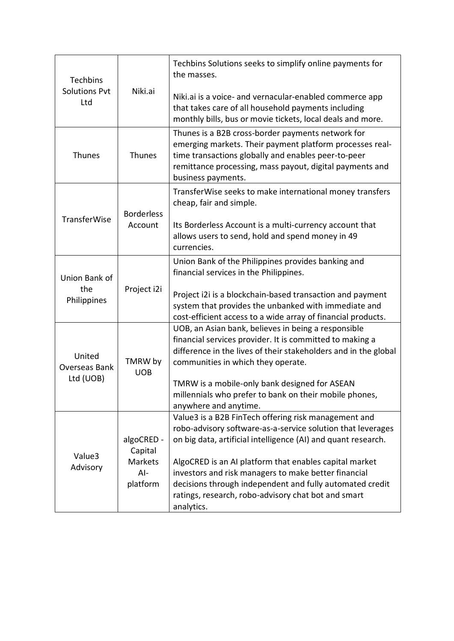| Techbins<br><b>Solutions Pvt</b><br>Ltd     | Niki.ai                                               | Techbins Solutions seeks to simplify online payments for<br>the masses.<br>Niki.ai is a voice- and vernacular-enabled commerce app                                                                                                                     |
|---------------------------------------------|-------------------------------------------------------|--------------------------------------------------------------------------------------------------------------------------------------------------------------------------------------------------------------------------------------------------------|
|                                             |                                                       | that takes care of all household payments including<br>monthly bills, bus or movie tickets, local deals and more.                                                                                                                                      |
| Thunes                                      | Thunes                                                | Thunes is a B2B cross-border payments network for<br>emerging markets. Their payment platform processes real-<br>time transactions globally and enables peer-to-peer<br>remittance processing, mass payout, digital payments and<br>business payments. |
|                                             | <b>Borderless</b>                                     | TransferWise seeks to make international money transfers<br>cheap, fair and simple.                                                                                                                                                                    |
| <b>TransferWise</b>                         | Account                                               | Its Borderless Account is a multi-currency account that<br>allows users to send, hold and spend money in 49<br>currencies.                                                                                                                             |
| Union Bank of<br>the<br>Philippines         | Project i2i                                           | Union Bank of the Philippines provides banking and<br>financial services in the Philippines.                                                                                                                                                           |
|                                             |                                                       | Project i2i is a blockchain-based transaction and payment<br>system that provides the unbanked with immediate and<br>cost-efficient access to a wide array of financial products.                                                                      |
| United<br><b>Overseas Bank</b><br>Ltd (UOB) | TMRW by<br><b>UOB</b>                                 | UOB, an Asian bank, believes in being a responsible<br>financial services provider. It is committed to making a<br>difference in the lives of their stakeholders and in the global<br>communities in which they operate.                               |
|                                             |                                                       | TMRW is a mobile-only bank designed for ASEAN<br>millennials who prefer to bank on their mobile phones,<br>anywhere and anytime.                                                                                                                       |
| Value3<br>Advisory                          | algoCRED -<br>Capital<br>Markets<br>$Al-$<br>platform | Value3 is a B2B FinTech offering risk management and<br>robo-advisory software-as-a-service solution that leverages<br>on big data, artificial intelligence (AI) and quant research.                                                                   |
|                                             |                                                       | AlgoCRED is an AI platform that enables capital market<br>investors and risk managers to make better financial<br>decisions through independent and fully automated credit<br>ratings, research, robo-advisory chat bot and smart<br>analytics.        |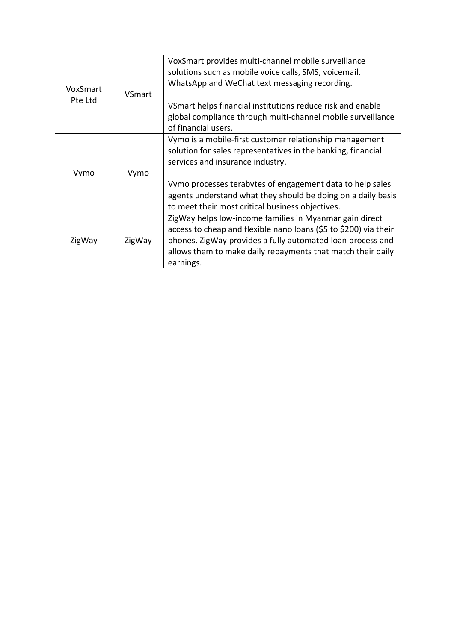| VoxSmart<br>Pte Ltd | VSmart | VoxSmart provides multi-channel mobile surveillance<br>solutions such as mobile voice calls, SMS, voicemail,<br>WhatsApp and WeChat text messaging recording.<br>VSmart helps financial institutions reduce risk and enable                                           |
|---------------------|--------|-----------------------------------------------------------------------------------------------------------------------------------------------------------------------------------------------------------------------------------------------------------------------|
|                     |        | global compliance through multi-channel mobile surveillance<br>of financial users.                                                                                                                                                                                    |
| Vymo                | Vymo   | Vymo is a mobile-first customer relationship management<br>solution for sales representatives in the banking, financial<br>services and insurance industry.                                                                                                           |
|                     |        | Vymo processes terabytes of engagement data to help sales<br>agents understand what they should be doing on a daily basis<br>to meet their most critical business objectives.                                                                                         |
| ZigWay              | ZigWay | ZigWay helps low-income families in Myanmar gain direct<br>access to cheap and flexible nano loans (\$5 to \$200) via their<br>phones. ZigWay provides a fully automated loan process and<br>allows them to make daily repayments that match their daily<br>earnings. |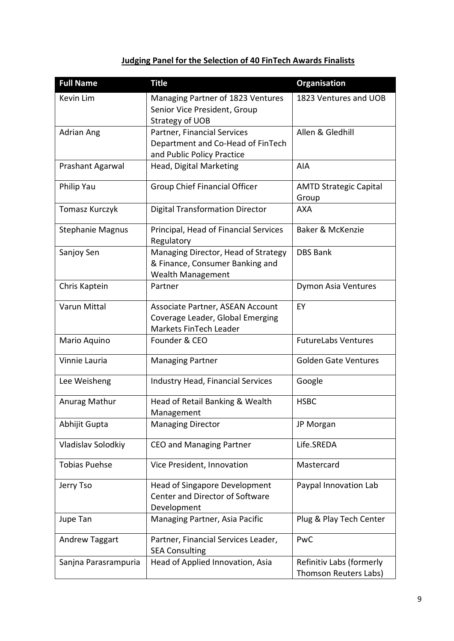# **Judging Panel for the Selection of 40 FinTech Awards Finalists**

| <b>Full Name</b>        | <b>Title</b>                                                                                       | <b>Organisation</b>                               |
|-------------------------|----------------------------------------------------------------------------------------------------|---------------------------------------------------|
| Kevin Lim               | Managing Partner of 1823 Ventures<br>Senior Vice President, Group<br>Strategy of UOB               | 1823 Ventures and UOB                             |
| Adrian Ang              | Partner, Financial Services<br>Department and Co-Head of FinTech<br>and Public Policy Practice     | Allen & Gledhill                                  |
| Prashant Agarwal        | Head, Digital Marketing                                                                            | AIA                                               |
| Philip Yau              | <b>Group Chief Financial Officer</b>                                                               | <b>AMTD Strategic Capital</b><br>Group            |
| Tomasz Kurczyk          | <b>Digital Transformation Director</b>                                                             | <b>AXA</b>                                        |
| <b>Stephanie Magnus</b> | Principal, Head of Financial Services<br>Regulatory                                                | <b>Baker &amp; McKenzie</b>                       |
| Sanjoy Sen              | Managing Director, Head of Strategy<br>& Finance, Consumer Banking and<br><b>Wealth Management</b> | <b>DBS Bank</b>                                   |
| Chris Kaptein           | Partner                                                                                            | <b>Dymon Asia Ventures</b>                        |
| Varun Mittal            | Associate Partner, ASEAN Account<br>Coverage Leader, Global Emerging<br>Markets FinTech Leader     | EY                                                |
| Mario Aquino            | Founder & CEO                                                                                      | <b>FutureLabs Ventures</b>                        |
| Vinnie Lauria           | <b>Managing Partner</b>                                                                            | <b>Golden Gate Ventures</b>                       |
| Lee Weisheng            | <b>Industry Head, Financial Services</b>                                                           | Google                                            |
| Anurag Mathur           | Head of Retail Banking & Wealth<br>Management                                                      | <b>HSBC</b>                                       |
| Abhijit Gupta           | <b>Managing Director</b>                                                                           | JP Morgan                                         |
| Vladislav Solodkiy      | <b>CEO and Managing Partner</b>                                                                    | Life.SREDA                                        |
| <b>Tobias Puehse</b>    | Vice President, Innovation                                                                         | Mastercard                                        |
| Jerry Tso               | <b>Head of Singapore Development</b><br>Center and Director of Software<br>Development             | Paypal Innovation Lab                             |
| Jupe Tan                | Managing Partner, Asia Pacific                                                                     | Plug & Play Tech Center                           |
| <b>Andrew Taggart</b>   | Partner, Financial Services Leader,<br><b>SEA Consulting</b>                                       | PwC                                               |
| Sanjna Parasrampuria    | Head of Applied Innovation, Asia                                                                   | Refinitiv Labs (formerly<br>Thomson Reuters Labs) |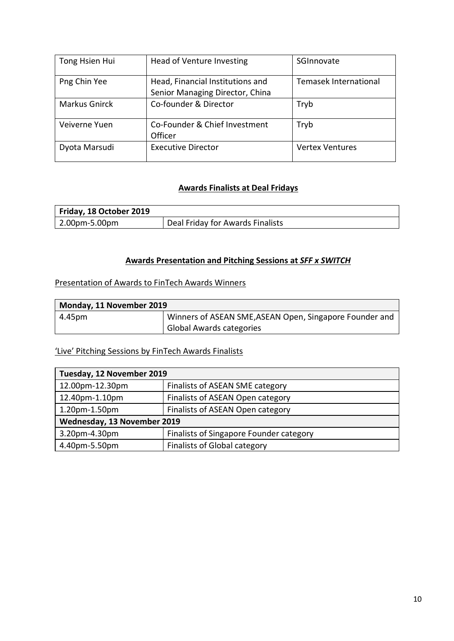| Tong Hsien Hui       | Head of Venture Investing                                           | SGInnovate             |
|----------------------|---------------------------------------------------------------------|------------------------|
| Png Chin Yee         | Head, Financial Institutions and<br>Senior Managing Director, China | Temasek International  |
| <b>Markus Gnirck</b> | Co-founder & Director                                               | Tryb                   |
| Veiverne Yuen        | Co-Founder & Chief Investment<br>Officer                            | Tryb                   |
| Dyota Marsudi        | <b>Executive Director</b>                                           | <b>Vertex Ventures</b> |

### **Awards Finalists at Deal Fridays**

| Friday, 18 October 2019 |                                  |
|-------------------------|----------------------------------|
| 2.00pm-5.00pm           | Deal Friday for Awards Finalists |

### **Awards Presentation and Pitching Sessions at** *SFF x SWITCH*

Presentation of Awards to FinTech Awards Winners

| Monday, 11 November 2019 |                                                         |  |
|--------------------------|---------------------------------------------------------|--|
| $ 4.45$ pm               | Winners of ASEAN SME, ASEAN Open, Singapore Founder and |  |
|                          | <b>Global Awards categories</b>                         |  |

'Live' Pitching Sessions by FinTech Awards Finalists

| Tuesday, 12 November 2019   |                                         |  |  |
|-----------------------------|-----------------------------------------|--|--|
| 12.00pm-12.30pm             | Finalists of ASEAN SME category         |  |  |
| 12.40pm-1.10pm              | Finalists of ASEAN Open category        |  |  |
| 1.20pm-1.50pm               | Finalists of ASEAN Open category        |  |  |
| Wednesday, 13 November 2019 |                                         |  |  |
| 3.20pm-4.30pm               | Finalists of Singapore Founder category |  |  |
| 4.40pm-5.50pm               | <b>Finalists of Global category</b>     |  |  |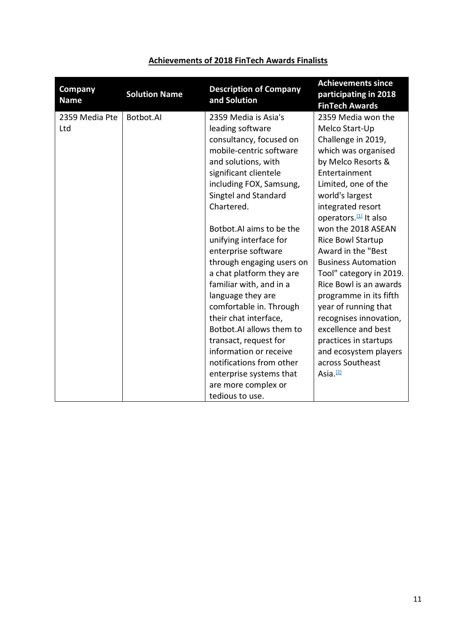| Company<br><b>Name</b> | <b>Solution Name</b> | <b>Description of Company</b><br>and Solution   | <b>Achievements since</b><br>participating in 2018<br><b>FinTech Awards</b> |
|------------------------|----------------------|-------------------------------------------------|-----------------------------------------------------------------------------|
| 2359 Media Pte         | Botbot.AI            | 2359 Media is Asia's                            | 2359 Media won the                                                          |
| Ltd                    |                      | leading software                                | Melco Start-Up                                                              |
|                        |                      | consultancy, focused on                         | Challenge in 2019,                                                          |
|                        |                      | mobile-centric software                         | which was organised                                                         |
|                        |                      | and solutions, with                             | by Melco Resorts &                                                          |
|                        |                      | significant clientele                           | Entertainment                                                               |
|                        |                      | including FOX, Samsung,<br>Singtel and Standard | Limited, one of the<br>world's largest                                      |
|                        |                      | Chartered.                                      | integrated resort                                                           |
|                        |                      |                                                 | operators. <sup>[1]</sup> It also                                           |
|                        |                      | Botbot.AI aims to be the                        | won the 2018 ASEAN                                                          |
|                        |                      | unifying interface for                          | Rice Bowl Startup                                                           |
|                        |                      | enterprise software                             | Award in the "Best                                                          |
|                        |                      | through engaging users on                       | <b>Business Automation</b>                                                  |
|                        |                      | a chat platform they are                        | Tool" category in 2019.                                                     |
|                        |                      | familiar with, and in a                         | Rice Bowl is an awards                                                      |
|                        |                      | language they are                               | programme in its fifth                                                      |
|                        |                      | comfortable in. Through                         | year of running that                                                        |
|                        |                      | their chat interface,                           | recognises innovation,                                                      |
|                        |                      | Botbot.AI allows them to                        | excellence and best                                                         |
|                        |                      | transact, request for                           | practices in startups                                                       |
|                        |                      | information or receive                          | and ecosystem players                                                       |
|                        |                      | notifications from other                        | across Southeast                                                            |
|                        |                      | enterprise systems that                         | Asia. <sup>[2]</sup>                                                        |
|                        |                      | are more complex or                             |                                                                             |
|                        |                      | tedious to use.                                 |                                                                             |

# **Achievements of 2018 FinTech Awards Finalists**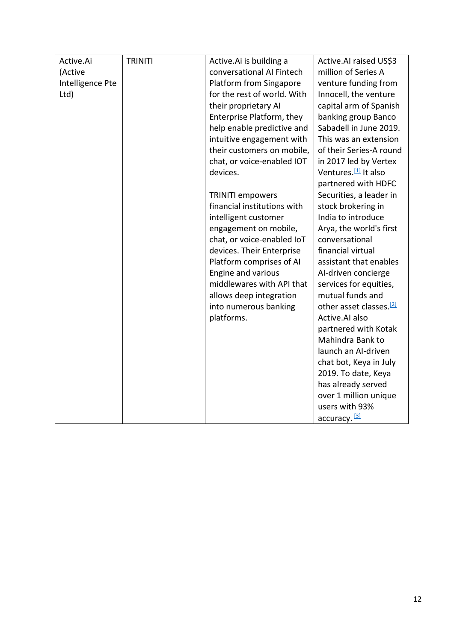| Active.Ai        | <b>TRINITI</b> | Active. Ai is building a    | Active.AI raised US\$3              |
|------------------|----------------|-----------------------------|-------------------------------------|
| (Active          |                | conversational AI Fintech   | million of Series A                 |
| Intelligence Pte |                | Platform from Singapore     | venture funding from                |
| Ltd)             |                | for the rest of world. With | Innocell, the venture               |
|                  |                | their proprietary AI        | capital arm of Spanish              |
|                  |                | Enterprise Platform, they   | banking group Banco                 |
|                  |                | help enable predictive and  | Sabadell in June 2019.              |
|                  |                | intuitive engagement with   | This was an extension               |
|                  |                | their customers on mobile,  | of their Series-A round             |
|                  |                | chat, or voice-enabled IOT  | in 2017 led by Vertex               |
|                  |                | devices.                    | Ventures. <sup>[1]</sup> It also    |
|                  |                |                             | partnered with HDFC                 |
|                  |                | <b>TRINITI empowers</b>     | Securities, a leader in             |
|                  |                | financial institutions with | stock brokering in                  |
|                  |                | intelligent customer        | India to introduce                  |
|                  |                | engagement on mobile,       | Arya, the world's first             |
|                  |                | chat, or voice-enabled IoT  | conversational                      |
|                  |                | devices. Their Enterprise   | financial virtual                   |
|                  |                | Platform comprises of AI    | assistant that enables              |
|                  |                | Engine and various          | AI-driven concierge                 |
|                  |                | middlewares with API that   | services for equities,              |
|                  |                | allows deep integration     | mutual funds and                    |
|                  |                | into numerous banking       | other asset classes. <sup>[2]</sup> |
|                  |                | platforms.                  | Active.AI also                      |
|                  |                |                             | partnered with Kotak                |
|                  |                |                             | Mahindra Bank to                    |
|                  |                |                             | launch an AI-driven                 |
|                  |                |                             | chat bot, Keya in July              |
|                  |                |                             | 2019. To date, Keya                 |
|                  |                |                             | has already served                  |
|                  |                |                             | over 1 million unique               |
|                  |                |                             | users with 93%                      |
|                  |                |                             | accuracy. [3]                       |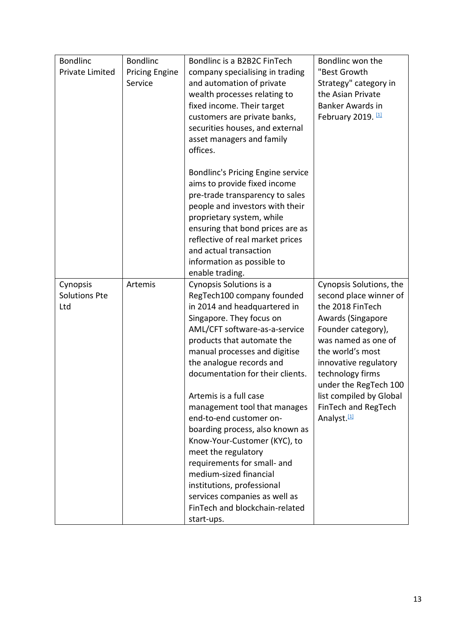| <b>Bondlinc</b>                  | <b>Bondlinc</b>       | Bondlinc is a B2B2C FinTech                           | Bondlinc won the                                  |
|----------------------------------|-----------------------|-------------------------------------------------------|---------------------------------------------------|
| <b>Private Limited</b>           | <b>Pricing Engine</b> | company specialising in trading                       | "Best Growth                                      |
|                                  | Service               | and automation of private                             | Strategy" category in                             |
|                                  |                       | wealth processes relating to                          | the Asian Private                                 |
|                                  |                       | fixed income. Their target                            | Banker Awards in                                  |
|                                  |                       | customers are private banks,                          | February 2019. [1]                                |
|                                  |                       | securities houses, and external                       |                                                   |
|                                  |                       | asset managers and family                             |                                                   |
|                                  |                       | offices.                                              |                                                   |
|                                  |                       |                                                       |                                                   |
|                                  |                       | Bondlinc's Pricing Engine service                     |                                                   |
|                                  |                       | aims to provide fixed income                          |                                                   |
|                                  |                       | pre-trade transparency to sales                       |                                                   |
|                                  |                       | people and investors with their                       |                                                   |
|                                  |                       | proprietary system, while                             |                                                   |
|                                  |                       | ensuring that bond prices are as                      |                                                   |
|                                  |                       | reflective of real market prices                      |                                                   |
|                                  |                       | and actual transaction                                |                                                   |
|                                  |                       | information as possible to                            |                                                   |
|                                  | Artemis               | enable trading.                                       |                                                   |
| Cynopsis<br><b>Solutions Pte</b> |                       | Cynopsis Solutions is a<br>RegTech100 company founded | Cynopsis Solutions, the<br>second place winner of |
| Ltd                              |                       | in 2014 and headquartered in                          | the 2018 FinTech                                  |
|                                  |                       | Singapore. They focus on                              | Awards (Singapore                                 |
|                                  |                       | AML/CFT software-as-a-service                         | Founder category),                                |
|                                  |                       | products that automate the                            | was named as one of                               |
|                                  |                       | manual processes and digitise                         | the world's most                                  |
|                                  |                       | the analogue records and                              | innovative regulatory                             |
|                                  |                       | documentation for their clients.                      | technology firms                                  |
|                                  |                       |                                                       | under the RegTech 100                             |
|                                  |                       | Artemis is a full case                                | list compiled by Global                           |
|                                  |                       | management tool that manages                          | FinTech and RegTech                               |
|                                  |                       | end-to-end customer on-                               | Analyst. <sup>[1]</sup>                           |
|                                  |                       | boarding process, also known as                       |                                                   |
|                                  |                       | Know-Your-Customer (KYC), to                          |                                                   |
|                                  |                       | meet the regulatory                                   |                                                   |
|                                  |                       | requirements for small- and                           |                                                   |
|                                  |                       | medium-sized financial                                |                                                   |
|                                  |                       | institutions, professional                            |                                                   |
|                                  |                       | services companies as well as                         |                                                   |
|                                  |                       | FinTech and blockchain-related                        |                                                   |
|                                  |                       | start-ups.                                            |                                                   |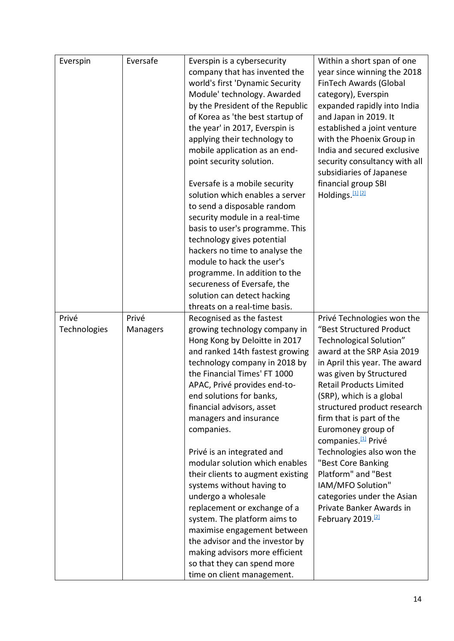| Everspin     | Eversafe | Everspin is a cybersecurity       | Within a short span of one      |
|--------------|----------|-----------------------------------|---------------------------------|
|              |          | company that has invented the     | year since winning the 2018     |
|              |          | world's first 'Dynamic Security   | FinTech Awards (Global          |
|              |          | Module' technology. Awarded       | category), Everspin             |
|              |          | by the President of the Republic  | expanded rapidly into India     |
|              |          | of Korea as 'the best startup of  | and Japan in 2019. It           |
|              |          | the year' in 2017, Everspin is    | established a joint venture     |
|              |          | applying their technology to      | with the Phoenix Group in       |
|              |          | mobile application as an end-     | India and secured exclusive     |
|              |          | point security solution.          | security consultancy with all   |
|              |          |                                   | subsidiaries of Japanese        |
|              |          | Eversafe is a mobile security     | financial group SBI             |
|              |          | solution which enables a server   | Holdings. [1] [2]               |
|              |          | to send a disposable random       |                                 |
|              |          | security module in a real-time    |                                 |
|              |          | basis to user's programme. This   |                                 |
|              |          | technology gives potential        |                                 |
|              |          | hackers no time to analyse the    |                                 |
|              |          | module to hack the user's         |                                 |
|              |          | programme. In addition to the     |                                 |
|              |          | secureness of Eversafe, the       |                                 |
|              |          | solution can detect hacking       |                                 |
|              |          | threats on a real-time basis.     |                                 |
| Privé        | Privé    | Recognised as the fastest         | Privé Technologies won the      |
| Technologies | Managers | growing technology company in     | "Best Structured Product        |
|              |          | Hong Kong by Deloitte in 2017     | Technological Solution"         |
|              |          | and ranked 14th fastest growing   | award at the SRP Asia 2019      |
|              |          | technology company in 2018 by     | in April this year. The award   |
|              |          | the Financial Times' FT 1000      | was given by Structured         |
|              |          | APAC, Privé provides end-to-      | <b>Retail Products Limited</b>  |
|              |          | end solutions for banks,          | (SRP), which is a global        |
|              |          | financial advisors, asset         | structured product research     |
|              |          | managers and insurance            | firm that is part of the        |
|              |          | companies.                        | Euromoney group of              |
|              |          |                                   | companies. <sup>[1]</sup> Privé |
|              |          | Privé is an integrated and        | Technologies also won the       |
|              |          | modular solution which enables    | "Best Core Banking              |
|              |          | their clients to augment existing | Platform" and "Best             |
|              |          | systems without having to         | IAM/MFO Solution"               |
|              |          | undergo a wholesale               | categories under the Asian      |
|              |          | replacement or exchange of a      | Private Banker Awards in        |
|              |          | system. The platform aims to      | February 2019. <sup>[2]</sup>   |
|              |          | maximise engagement between       |                                 |
|              |          | the advisor and the investor by   |                                 |
|              |          | making advisors more efficient    |                                 |
|              |          | so that they can spend more       |                                 |
|              |          | time on client management.        |                                 |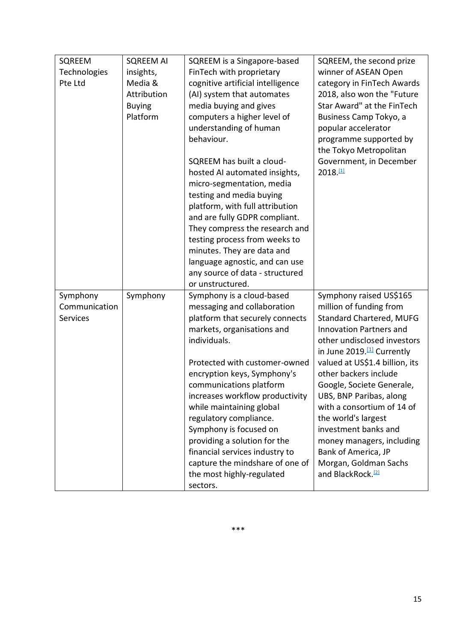| SQREEM          | <b>SQREEM AI</b> | SQREEM is a Singapore-based       | SQREEM, the second prize               |
|-----------------|------------------|-----------------------------------|----------------------------------------|
| Technologies    | insights,        | FinTech with proprietary          | winner of ASEAN Open                   |
| Pte Ltd         | Media &          | cognitive artificial intelligence | category in FinTech Awards             |
|                 | Attribution      | (AI) system that automates        | 2018, also won the "Future             |
|                 | <b>Buying</b>    | media buying and gives            | Star Award" at the FinTech             |
|                 | Platform         | computers a higher level of       | Business Camp Tokyo, a                 |
|                 |                  | understanding of human            | popular accelerator                    |
|                 |                  | behaviour.                        | programme supported by                 |
|                 |                  |                                   | the Tokyo Metropolitan                 |
|                 |                  | SQREEM has built a cloud-         | Government, in December                |
|                 |                  | hosted AI automated insights,     | 2018.41                                |
|                 |                  | micro-segmentation, media         |                                        |
|                 |                  | testing and media buying          |                                        |
|                 |                  | platform, with full attribution   |                                        |
|                 |                  | and are fully GDPR compliant.     |                                        |
|                 |                  | They compress the research and    |                                        |
|                 |                  | testing process from weeks to     |                                        |
|                 |                  | minutes. They are data and        |                                        |
|                 |                  | language agnostic, and can use    |                                        |
|                 |                  | any source of data - structured   |                                        |
|                 |                  | or unstructured.                  |                                        |
| Symphony        | Symphony         | Symphony is a cloud-based         | Symphony raised US\$165                |
| Communication   |                  | messaging and collaboration       | million of funding from                |
| <b>Services</b> |                  | platform that securely connects   | <b>Standard Chartered, MUFG</b>        |
|                 |                  | markets, organisations and        | <b>Innovation Partners and</b>         |
|                 |                  | individuals.                      | other undisclosed investors            |
|                 |                  |                                   | in June 2019. <sup>[1]</sup> Currently |
|                 |                  | Protected with customer-owned     | valued at US\$1.4 billion, its         |
|                 |                  | encryption keys, Symphony's       | other backers include                  |
|                 |                  | communications platform           | Google, Societe Generale,              |
|                 |                  | increases workflow productivity   | UBS, BNP Paribas, along                |
|                 |                  | while maintaining global          | with a consortium of 14 of             |
|                 |                  | regulatory compliance.            | the world's largest                    |
|                 |                  | Symphony is focused on            | investment banks and                   |
|                 |                  | providing a solution for the      | money managers, including              |
|                 |                  | financial services industry to    | Bank of America, JP                    |
|                 |                  | capture the mindshare of one of   | Morgan, Goldman Sachs                  |
|                 |                  | the most highly-regulated         | and BlackRock. <sup>[2]</sup>          |
|                 |                  | sectors.                          |                                        |

\*\*\*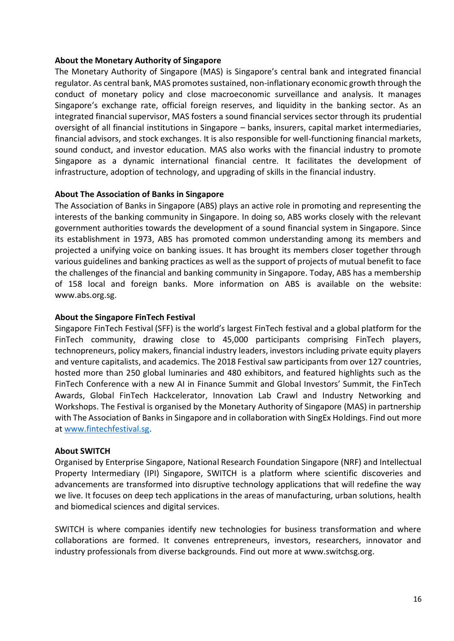#### **About the Monetary Authority of Singapore**

The Monetary Authority of Singapore (MAS) is Singapore's central bank and integrated financial regulator. As central bank, MAS promotes sustained, non-inflationary economic growth through the conduct of monetary policy and close macroeconomic surveillance and analysis. It manages Singapore's exchange rate, official foreign reserves, and liquidity in the banking sector. As an integrated financial supervisor, MAS fosters a sound financial services sector through its prudential oversight of all financial institutions in Singapore – banks, insurers, capital market intermediaries, financial advisors, and stock exchanges. It is also responsible for well-functioning financial markets, sound conduct, and investor education. MAS also works with the financial industry to promote Singapore as a dynamic international financial centre. It facilitates the development of infrastructure, adoption of technology, and upgrading of skills in the financial industry.

#### **About The Association of Banks in Singapore**

The Association of Banks in Singapore (ABS) plays an active role in promoting and representing the interests of the banking community in Singapore. In doing so, ABS works closely with the relevant government authorities towards the development of a sound financial system in Singapore. Since its establishment in 1973, ABS has promoted common understanding among its members and projected a unifying voice on banking issues. It has brought its members closer together through various guidelines and banking practices as well as the support of projects of mutual benefit to face the challenges of the financial and banking community in Singapore. Today, ABS has a membership of 158 local and foreign banks. More information on ABS is available on the website: www.abs.org.sg.

#### **About the Singapore FinTech Festival**

Singapore FinTech Festival (SFF) is the world's largest FinTech festival and a global platform for the FinTech community, drawing close to 45,000 participants comprising FinTech players, technopreneurs, policy makers, financial industry leaders, investors including private equity players and venture capitalists, and academics. The 2018 Festival saw participants from over 127 countries, hosted more than 250 global luminaries and 480 exhibitors, and featured highlights such as the FinTech Conference with a new AI in Finance Summit and Global Investors' Summit, the FinTech Awards, Global FinTech Hackcelerator, Innovation Lab Crawl and Industry Networking and Workshops. The Festival is organised by the Monetary Authority of Singapore (MAS) in partnership with The Association of Banks in Singapore and in collaboration with SingEx Holdings. Find out more at [www.fintechfestival.sg.](http://www.fintechfestival.sg/)

#### **About SWITCH**

Organised by Enterprise Singapore, National Research Foundation Singapore (NRF) and Intellectual Property Intermediary (IPI) Singapore, SWITCH is a platform where scientific discoveries and advancements are transformed into disruptive technology applications that will redefine the way we live. It focuses on deep tech applications in the areas of manufacturing, urban solutions, health and biomedical sciences and digital services.

SWITCH is where companies identify new technologies for business transformation and where collaborations are formed. It convenes entrepreneurs, investors, researchers, innovator and industry professionals from diverse backgrounds. Find out more at www.switchsg.org.